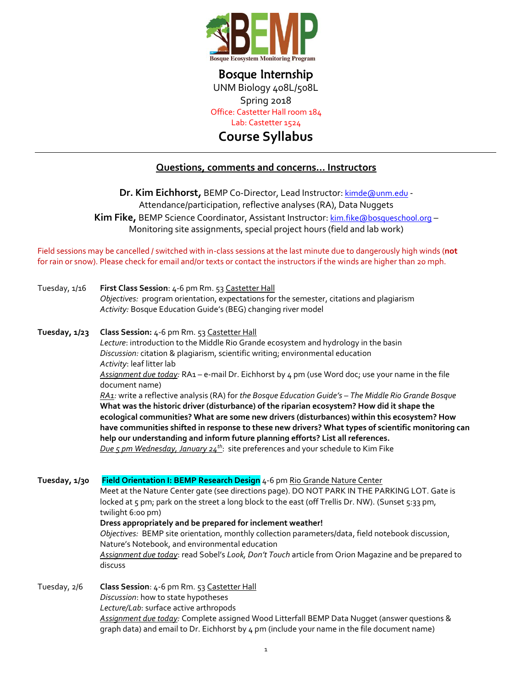

Bosque Internship UNM Biology 408L/508L

Spring 2018

Office: Castetter Hall room 184

Lab: Castetter 1524

**Course Syllabus**

## **Questions, comments and concerns… Instructors**

**Dr. Kim Eichhorst, BEMP Co-Director, Lead Instructor: [kimde@unm.edu](mailto:kimde@unm.edu) -**Attendance/participation, reflective analyses (RA), Data Nuggets Kim Fike, BEMP Science Coordinator, Assistant Instructor: [kim.fike@bosqueschool.org](mailto:kim.fike@bosqueschool.org) -Monitoring site assignments, special project hours (field and lab work)

Field sessions may be cancelled / switched with in-class sessions at the last minute due to dangerously high winds (**not** for rain or snow). Please check for email and/or texts or contact the instructors if the winds are higher than 20 mph.

| Tuesday, 1/16 | First Class Session: 4-6 pm Rm. 53 Castetter Hall<br>Objectives: program orientation, expectations for the semester, citations and plagiarism<br>Activity: Bosque Education Guide's (BEG) changing river model                                                                                                                                                                                                                                                                                                                                                                                                                                                                                                                                                                                                                                                                                                                                                    |
|---------------|-------------------------------------------------------------------------------------------------------------------------------------------------------------------------------------------------------------------------------------------------------------------------------------------------------------------------------------------------------------------------------------------------------------------------------------------------------------------------------------------------------------------------------------------------------------------------------------------------------------------------------------------------------------------------------------------------------------------------------------------------------------------------------------------------------------------------------------------------------------------------------------------------------------------------------------------------------------------|
| Tuesday, 1/23 | Class Session: 4-6 pm Rm. 53 Castetter Hall<br>Lecture: introduction to the Middle Rio Grande ecosystem and hydrology in the basin<br>Discussion: citation & plagiarism, scientific writing; environmental education<br>Activity: leaf litter lab<br>Assignment due today: RA1 - e-mail Dr. Eichhorst by 4 pm (use Word doc; use your name in the file<br>document name)<br>RA1: write a reflective analysis (RA) for the Bosque Education Guide's - The Middle Rio Grande Bosque<br>What was the historic driver (disturbance) of the riparian ecosystem? How did it shape the<br>ecological communities? What are some new drivers (disturbances) within this ecosystem? How<br>have communities shifted in response to these new drivers? What types of scientific monitoring can<br>help our understanding and inform future planning efforts? List all references.<br>Due 5 pm Wednesday, January $24^{th}$ : site preferences and your schedule to Kim Fike |
| Tuesday, 1/30 | Field Orientation I: BEMP Research Design 4-6 pm Rio Grande Nature Center<br>Meet at the Nature Center gate (see directions page). DO NOT PARK IN THE PARKING LOT. Gate is<br>locked at 5 pm; park on the street a long block to the east (off Trellis Dr. NW). (Sunset 5:33 pm,<br>twilight 6:00 pm)<br>Dress appropriately and be prepared for inclement weather!<br>Objectives: BEMP site orientation, monthly collection parameters/data, field notebook discussion,<br>Nature's Notebook, and environmental education<br>Assignment due today: read Sobel's Look, Don't Touch article from Orion Magazine and be prepared to<br>discuss                                                                                                                                                                                                                                                                                                                      |
| Tuesday, 2/6  | Class Session: 4-6 pm Rm. 53 Castetter Hall<br>Discussion: how to state hypotheses<br>Lecture/Lab: surface active arthropods<br>Assignment due today: Complete assigned Wood Litterfall BEMP Data Nugget (answer questions &<br>graph data) and email to Dr. Eichhorst by 4 pm (include your name in the file document name)                                                                                                                                                                                                                                                                                                                                                                                                                                                                                                                                                                                                                                      |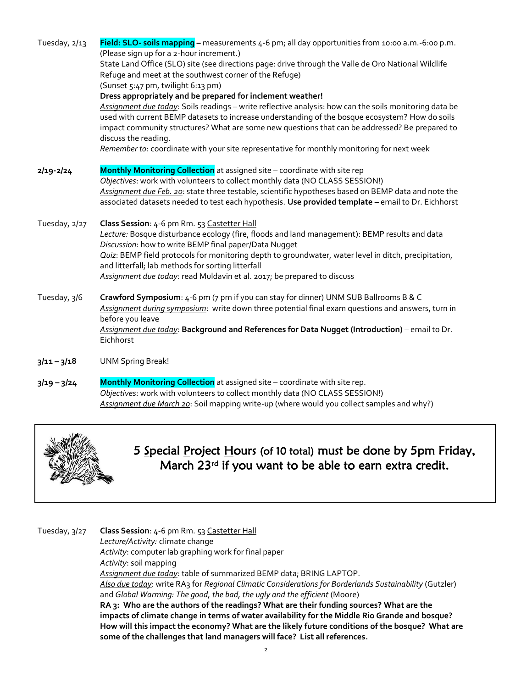| Tuesday, 2/13 | Field: SLO- soils mapping - measurements 4-6 pm; all day opportunities from 10:00 a.m.-6:00 p.m.<br>(Please sign up for a 2-hour increment.)<br>State Land Office (SLO) site (see directions page: drive through the Valle de Oro National Wildlife<br>Refuge and meet at the southwest corner of the Refuge)<br>(Sunset 5:47 pm, twilight 6:13 pm)<br>Dress appropriately and be prepared for inclement weather!<br>Assignment due today: Soils readings - write reflective analysis: how can the soils monitoring data be<br>used with current BEMP datasets to increase understanding of the bosque ecosystem? How do soils<br>impact community structures? What are some new questions that can be addressed? Be prepared to<br>discuss the reading.<br>Remember to: coordinate with your site representative for monthly monitoring for next week |
|---------------|--------------------------------------------------------------------------------------------------------------------------------------------------------------------------------------------------------------------------------------------------------------------------------------------------------------------------------------------------------------------------------------------------------------------------------------------------------------------------------------------------------------------------------------------------------------------------------------------------------------------------------------------------------------------------------------------------------------------------------------------------------------------------------------------------------------------------------------------------------|
| $2/19 - 2/24$ | Monthly Monitoring Collection at assigned site - coordinate with site rep<br>Objectives: work with volunteers to collect monthly data (NO CLASS SESSION!)<br>Assignment due Feb. 20: state three testable, scientific hypotheses based on BEMP data and note the<br>associated datasets needed to test each hypothesis. Use provided template - email to Dr. Eichhorst                                                                                                                                                                                                                                                                                                                                                                                                                                                                                 |
| Tuesday, 2/27 | Class Session: 4-6 pm Rm. 53 Castetter Hall<br>Lecture: Bosque disturbance ecology (fire, floods and land management): BEMP results and data<br>Discussion: how to write BEMP final paper/Data Nugget<br>Quiz: BEMP field protocols for monitoring depth to groundwater, water level in ditch, precipitation,<br>and litterfall; lab methods for sorting litterfall<br>Assignment due today: read Muldavin et al. 2017; be prepared to discuss                                                                                                                                                                                                                                                                                                                                                                                                         |
| Tuesday, 3/6  | Crawford Symposium: 4-6 pm (7 pm if you can stay for dinner) UNM SUB Ballrooms B & C<br>Assignment during symposium: write down three potential final exam questions and answers, turn in<br>before you leave<br>Assignment due today: Background and References for Data Nugget (Introduction) - email to Dr.<br>Eichhorst                                                                                                                                                                                                                                                                                                                                                                                                                                                                                                                            |
| $3/11 - 3/18$ | <b>UNM Spring Break!</b>                                                                                                                                                                                                                                                                                                                                                                                                                                                                                                                                                                                                                                                                                                                                                                                                                               |
| $3/19 - 3/24$ | Monthly Monitoring Collection at assigned site - coordinate with site rep.<br>Objectives: work with volunteers to collect monthly data (NO CLASS SESSION!)<br>Assignment due March 20: Soil mapping write-up (where would you collect samples and why?)                                                                                                                                                                                                                                                                                                                                                                                                                                                                                                                                                                                                |



5 Special Project Hours (of 10 total) must be done by 5pm Friday, March 23rd if you want to be able to earn extra credit.

Tuesday, 3/27 **Class Session**: 4-6 pm Rm. 53 Castetter Hall *Lecture/Activity:* climate change *Activity*: computer lab graphing work for final paper *Activity*: soil mapping *Assignment due today*: table of summarized BEMP data; BRING LAPTOP. *Also due today*: write RA3 for *Regional Climatic Considerations for Borderlands Sustainability* (Gutzler) and *Global Warming: The good, the bad, the ugly and the efficient* (Moore) **RA 3: Who are the authors of the readings? What are their funding sources? What are the impacts of climate change in terms of water availability for the Middle Rio Grande and bosque? How will this impact the economy? What are the likely future conditions of the bosque? What are some of the challenges that land managers will face? List all references.**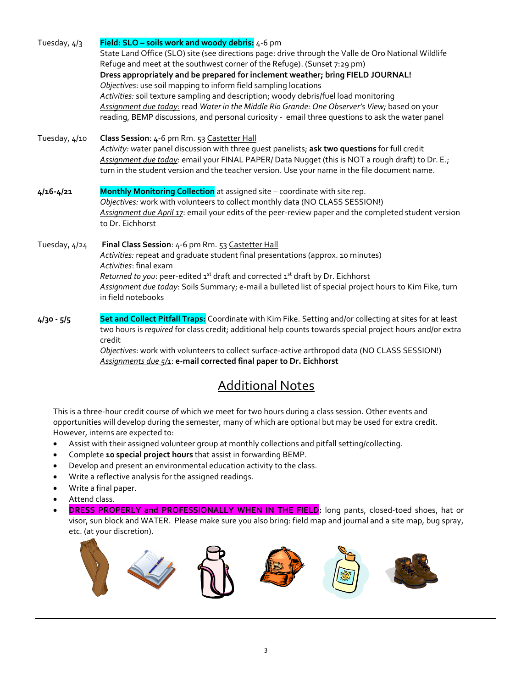| Tuesday, 4/3  | Field: SLO - soils work and woody debris: 4-6 pm                                                                    |
|---------------|---------------------------------------------------------------------------------------------------------------------|
|               | State Land Office (SLO) site (see directions page: drive through the Valle de Oro National Wildlife                 |
|               | Refuge and meet at the southwest corner of the Refuge). (Sunset 7:29 pm)                                            |
|               | Dress appropriately and be prepared for inclement weather; bring FIELD JOURNAL!                                     |
|               | Objectives: use soil mapping to inform field sampling locations                                                     |
|               | Activities: soil texture sampling and description; woody debris/fuel load monitoring                                |
|               | Assignment due today: read Water in the Middle Rio Grande: One Observer's View; based on your                       |
|               | reading, BEMP discussions, and personal curiosity - email three questions to ask the water panel                    |
| Tuesday, 4/10 | Class Session: 4-6 pm Rm. 53 Castetter Hall                                                                         |
|               | Activity: water panel discussion with three quest panelists; ask two questions for full credit                      |
|               | Assignment due today: email your FINAL PAPER/ Data Nugget (this is NOT a rough draft) to Dr. E.;                    |
|               | turn in the student version and the teacher version. Use your name in the file document name.                       |
| $4/16 - 4/21$ | Monthly Monitoring Collection at assigned site - coordinate with site rep.                                          |
|               | Objectives: work with volunteers to collect monthly data (NO CLASS SESSION!)                                        |
|               | Assignment due April 17: email your edits of the peer-review paper and the completed student version                |
|               | to Dr. Eichhorst                                                                                                    |
| Tuesday, 4/24 | Final Class Session: 4-6 pm Rm. 53 Castetter Hall                                                                   |
|               | Activities: repeat and graduate student final presentations (approx. 10 minutes)                                    |
|               | Activities: final exam                                                                                              |
|               | Returned to you: peer-edited 1 <sup>st</sup> draft and corrected 1 <sup>st</sup> draft by Dr. Eichhorst             |
|               | Assignment due today: Soils Summary; e-mail a bulleted list of special project hours to Kim Fike, turn              |
|               | in field notebooks                                                                                                  |
| $4/30 - 5/5$  | Set and Collect Pitfall Traps: Coordinate with Kim Fike. Setting and/or collecting at sites for at least            |
|               | two hours is required for class credit; additional help counts towards special project hours and/or extra<br>credit |

*Objectives*: work with volunteers to collect surface-active arthropod data (NO CLASS SESSION!) *Assignments due 5/1*: **e-mail corrected final paper to Dr. Eichhorst**

# Additional Notes

This is a three-hour credit course of which we meet for two hours during a class session. Other events and opportunities will develop during the semester, many of which are optional but may be used for extra credit. However, interns are expected to:

- Assist with their assigned volunteer group at monthly collections and pitfall setting/collecting.
- Complete **10 special project hours** that assist in forwarding BEMP.
- Develop and present an environmental education activity to the class.
- Write a reflective analysis for the assigned readings.
- Write a final paper.
- Attend class.
- **DRESS PROPERLY and PROFESSIONALLY WHEN IN THE FIELD:** long pants, closed-toed shoes, hat or visor, sun block and WATER. Please make sure you also bring: field map and journal and a site map, bug spray, etc. (at your discretion).

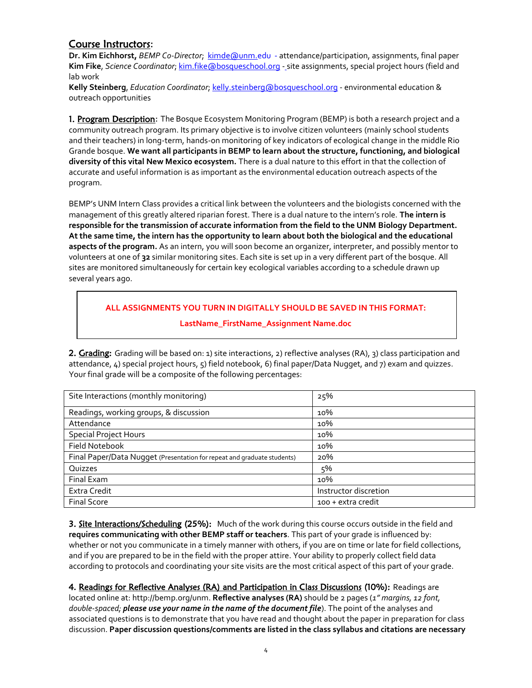## Course Instructors:

**Dr. Kim Eichhorst,** *BEMP Co-Director*; [kimde@unm.edu](mailto:kimde@unm.edu) - attendance/participation, assignments, final paper **Kim Fike**, *Science Coordinator*; [kim.fike@bosqueschool.org](mailto:kim.fike@bosqueschool.org) - site assignments, special project hours (field and lab work

**Kelly Steinberg**, *Education Coordinator*; [kelly.steinberg@bosqueschool.org](mailto:kelly.steinberg@bosqueschool.org) - environmental education & outreach opportunities

1. Program Description: The Bosque Ecosystem Monitoring Program (BEMP) is both a research project and a community outreach program. Its primary objective is to involve citizen volunteers (mainly school students and their teachers) in long-term, hands-on monitoring of key indicators of ecological change in the middle Rio Grande bosque. **We want all participants in BEMP to learn about the structure, functioning, and biological diversity of this vital New Mexico ecosystem.** There is a dual nature to this effort in that the collection of accurate and useful information is as important as the environmental education outreach aspects of the program.

BEMP's UNM Intern Class provides a critical link between the volunteers and the biologists concerned with the management of this greatly altered riparian forest. There is a dual nature to the intern's role. **The intern is responsible for the transmission of accurate information from the field to the UNM Biology Department. At the same time, the intern has the opportunity to learn about both the biological and the educational aspects of the program.** As an intern, you will soon become an organizer, interpreter, and possibly mentor to volunteers at one of **32** similar monitoring sites. Each site is set up in a very different part of the bosque. All sites are monitored simultaneously for certain key ecological variables according to a schedule drawn up several years ago.

### **ALL ASSIGNMENTS YOU TURN IN DIGITALLY SHOULD BE SAVED IN THIS FORMAT:**

### **LastName\_FirstName\_Assignment Name.doc**

2. Grading: Grading will be based on: 1) site interactions, 2) reflective analyses (RA), 3) class participation and attendance, 4) special project hours, 5) field notebook, 6) final paper/Data Nugget, and 7) exam and quizzes. Your final grade will be a composite of the following percentages:

| Site Interactions (monthly monitoring)                                  | 25%                   |
|-------------------------------------------------------------------------|-----------------------|
| Readings, working groups, & discussion                                  | 10%                   |
| Attendance                                                              | 10%                   |
| <b>Special Project Hours</b>                                            | 10%                   |
| Field Notebook                                                          | 10%                   |
| Final Paper/Data Nugget (Presentation for repeat and graduate students) | 20%                   |
| Quizzes                                                                 | 5%                    |
| Final Exam                                                              | 10%                   |
| Extra Credit                                                            | Instructor discretion |
| <b>Final Score</b>                                                      | 100 + extra credit    |

3. Site Interactions/Scheduling (25%): Much of the work during this course occurs outside in the field and **requires communicating with other BEMP staff or teachers**. This part of your grade is influenced by: whether or not you communicate in a timely manner with others, if you are on time or late for field collections, and if you are prepared to be in the field with the proper attire. Your ability to properly collect field data according to protocols and coordinating your site visits are the most critical aspect of this part of your grade.

4. Readings for Reflective Analyses (RA) and Participation in Class Discussions (10%): Readings are located online at: http://bemp.org/unm. **Reflective analyses (RA)** should be 2 pages (*1" margins, 12 font, double-spaced; please use your name in the name of the document file*). The point of the analyses and associated questions is to demonstrate that you have read and thought about the paper in preparation for class discussion. **Paper discussion questions/comments are listed in the class syllabus and citations are necessary**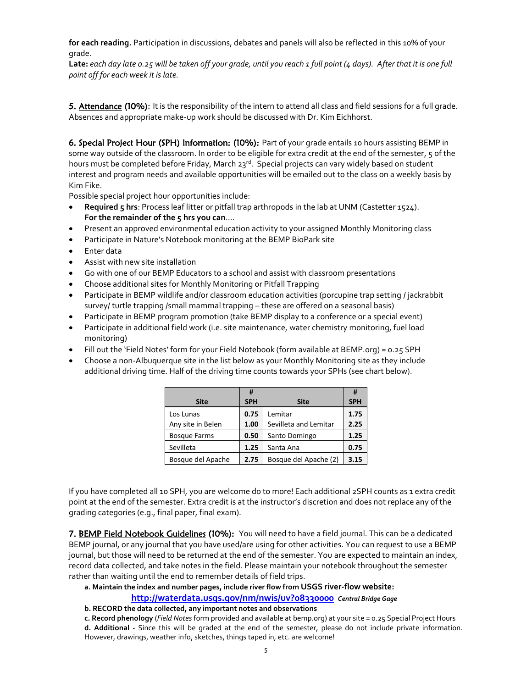**for each reading.** Participation in discussions, debates and panels will also be reflected in this 10% of your grade.

**Late:** *each day late 0.25 will be taken off your grade, until you reach 1 full point (4 days). After that it is one full point off for each week it is late.*

5. Attendance (10%): It is the responsibility of the intern to attend all class and field sessions for a full grade. Absences and appropriate make-up work should be discussed with Dr. Kim Eichhorst.

6. Special Project Hour (SPH) Information: (10%): Part of your grade entails 10 hours assisting BEMP in some way outside of the classroom. In order to be eligible for extra credit at the end of the semester, 5 of the hours must be completed before Friday, March 23<sup>rd</sup>. Special projects can vary widely based on student interest and program needs and available opportunities will be emailed out to the class on a weekly basis by Kim Fike.

Possible special project hour opportunities include:

- **Required 5 hrs**: Process leaf litter or pitfall trap arthropods in the lab at UNM (Castetter 1524). **For the remainder of the 5 hrs you can**….
- Present an approved environmental education activity to your assigned Monthly Monitoring class
- Participate in Nature's Notebook monitoring at the BEMP BioPark site
- Enter data
- Assist with new site installation
- Go with one of our BEMP Educators to a school and assist with classroom presentations
- Choose additional sites for Monthly Monitoring or Pitfall Trapping
- Participate in BEMP wildlife and/or classroom education activities (porcupine trap setting / jackrabbit survey/ turtle trapping /small mammal trapping – these are offered on a seasonal basis)
- Participate in BEMP program promotion (take BEMP display to a conference or a special event)
- Participate in additional field work (i.e. site maintenance, water chemistry monitoring, fuel load monitoring)
- Fill out the 'Field Notes' form for your Field Notebook (form available at BEMP.org) = 0.25 SPH
- Choose a non-Albuquerque site in the list below as your Monthly Monitoring site as they include additional driving time. Half of the driving time counts towards your SPHs (see chart below).

|                     | #          |                       | #          |
|---------------------|------------|-----------------------|------------|
| <b>Site</b>         | <b>SPH</b> | <b>Site</b>           | <b>SPH</b> |
| Los Lunas           | 0.75       | Lemitar               | 1.75       |
| Any site in Belen   | 1.00       | Sevilleta and Lemitar | 2.25       |
| <b>Bosque Farms</b> | 0.50       | Santo Domingo         | 1.25       |
| Sevilleta           | 1.25       | Santa Ana             | 0.75       |
| Bosque del Apache   | 2.75       | Bosque del Apache (2) | 3.15       |

If you have completed all 10 SPH, you are welcome do to more! Each additional 2SPH counts as 1 extra credit point at the end of the semester. Extra credit is at the instructor's discretion and does not replace any of the grading categories (e.g., final paper, final exam).

7. BEMP Field Notebook Guidelines (10%): You will need to have a field journal. This can be a dedicated BEMP journal, or any journal that you have used/are using for other activities. You can request to use a BEMP journal, but those will need to be returned at the end of the semester. You are expected to maintain an index, record data collected, and take notes in the field. Please maintain your notebook throughout the semester rather than waiting until the end to remember details of field trips.

**a. Maintain the index and number pages, include river flow from USGS river-flow website:** 

**<http://waterdata.usgs.gov/nm/nwis/uv?08330000>** *Central Bridge Gage*

- **b. RECORD the data collected, any important notes and observations**
- **c. Record phenology** (*Field Notes* form provided and available at bemp.org) at your site = 0.25 Special Project Hours **d. Additional -** Since this will be graded at the end of the semester, please do not include private information. However, drawings, weather info, sketches, things taped in, etc. are welcome!